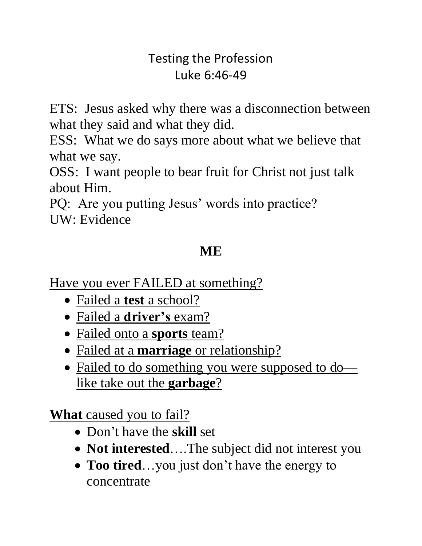#### Testing the Profession Luke 6:46-49

ETS: Jesus asked why there was a disconnection between what they said and what they did.

ESS: What we do says more about what we believe that what we say.

OSS: I want people to bear fruit for Christ not just talk about Him.

PQ: Are you putting Jesus' words into practice? UW: Evidence

# **ME**

Have you ever FAILED at something?

- Failed a **test** a school?
- Failed a **driver's** exam?
- Failed onto a **sports** team?
- Failed at a **marriage** or relationship?
- Failed to do something you were supposed to do like take out the **garbage**?

**What** caused you to fail?

- Don't have the **skill** set
- **Not interested....The subject did not interest you**
- **Too tired**…you just don't have the energy to concentrate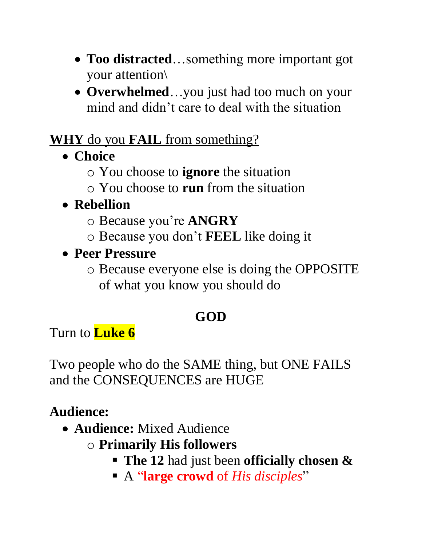- **Too distracted**…something more important got your attention\
- **Overwhelmed**...you just had too much on your mind and didn't care to deal with the situation

#### **WHY** do you **FAIL** from something?

- **Choice**
	- o You choose to **ignore** the situation
	- o You choose to **run** from the situation

# • **Rebellion**

- o Because you're **ANGRY**
- o Because you don't **FEEL** like doing it
- **Peer Pressure**
	- o Because everyone else is doing the OPPOSITE of what you know you should do

# **GOD**

Turn to **Luke 6**

Two people who do the SAME thing, but ONE FAILS and the CONSEQUENCES are HUGE

# **Audience:**

- **Audience:** Mixed Audience
	- o **Primarily His followers**
		- **The 12** had just been **officially chosen &**
		- A "**large crowd** of *His disciples*"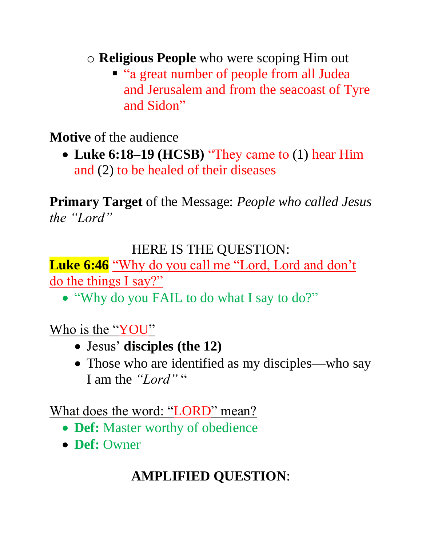o **Religious People** who were scoping Him out

■ "a great number of people from all Judea and Jerusalem and from the seacoast of Tyre and Sidon"

**Motive** of the audience

• **Luke 6:18–19 (HCSB)** "They came to (1) hear Him and (2) to be healed of their diseases

**Primary Target** of the Message: *People who called Jesus the "Lord"*

#### HERE IS THE QUESTION:

Luke 6:46 "Why do you call me "Lord, Lord and don't do the things I say?"

• "Why do you FAIL to do what I say to do?"

Who is the "YOU"

- Jesus' **disciples (the 12)**
- Those who are identified as my disciples—who say I am the "Lord" "

What does the word: "LORD" mean?

- **Def:** Master worthy of obedience
- **Def:** Owner

# **AMPLIFIED QUESTION**: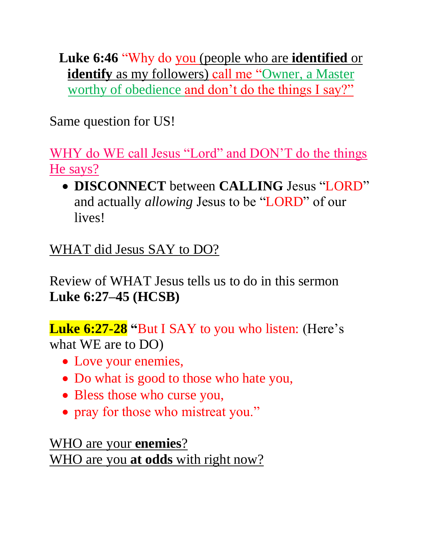**Luke 6:46** "Why do you (people who are **identified** or **identify** as my followers) call me "Owner, a Master worthy of obedience and don't do the things I say?"

Same question for US!

WHY do WE call Jesus "Lord" and DON'T do the things He says?

• **DISCONNECT** between **CALLING** Jesus "LORD" and actually *allowing* Jesus to be "LORD" of our lives!

## WHAT did Jesus SAY to DO?

Review of WHAT Jesus tells us to do in this sermon **Luke 6:27–45 (HCSB)**

**Luke 6:27-28 "**But I SAY to you who listen: (Here's what WE are to DO)

- Love your enemies,
- Do what is good to those who hate you,
- Bless those who curse you,
- pray for those who mistreat you."

WHO are your **enemies**? WHO are you **at odds** with right now?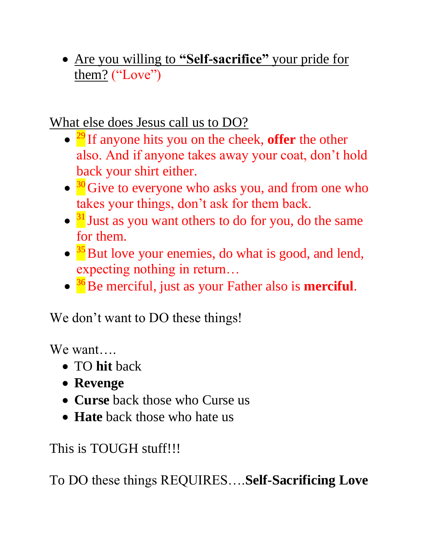• Are you willing to **"Self-sacrifice"** your pride for them? ("Love")

What else does Jesus call us to DO?

- <sup>29</sup> If anyone hits you on the cheek, **offer** the other also. And if anyone takes away your coat, don't hold back your shirt either.
- <sup>30</sup> Give to everyone who asks you, and from one who takes your things, don't ask for them back.
- <sup>31</sup> Just as you want others to do for you, do the same for them.
- <sup>35</sup> But love your enemies, do what is good, and lend, expecting nothing in return…
- <sup>36</sup> Be merciful, just as your Father also is **merciful**.

We don't want to DO these things!

We want

- TO **hit** back
- **Revenge**
- **Curse** back those who Curse us
- **Hate** back those who hate us

This is TOUGH stuff!!!

To DO these things REQUIRES….**Self-Sacrificing Love**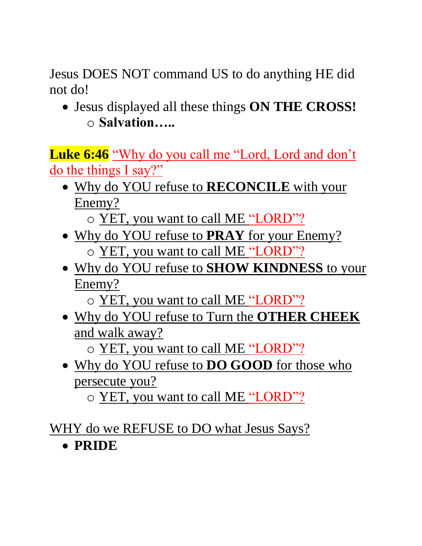Jesus DOES NOT command US to do anything HE did not do!

• Jesus displayed all these things **ON THE CROSS!** o **Salvation…..**

Luke 6:46 "Why do you call me "Lord, Lord and don't do the things I say?"

- Why do YOU refuse to **RECONCILE** with your Enemy?
	- o YET, you want to call ME "LORD"?
- Why do YOU refuse to **PRAY** for your Enemy? o YET, you want to call ME "LORD"?
- Why do YOU refuse to **SHOW KINDNESS** to your Enemy?
	- o YET, you want to call ME "LORD"?
- Why do YOU refuse to Turn the **OTHER CHEEK** and walk away?

o YET, you want to call ME "LORD"?

• Why do YOU refuse to **DO GOOD** for those who persecute you?

o YET, you want to call ME "LORD"?

WHY do we REFUSE to DO what Jesus Says?

• **PRIDE**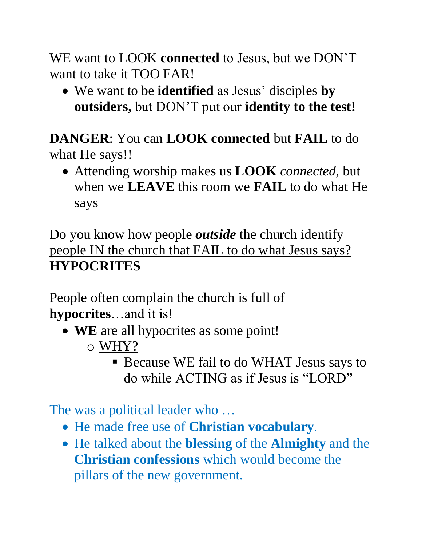WE want to LOOK **connected** to Jesus, but we DON'T want to take it TOO FAR!

• We want to be **identified** as Jesus' disciples **by outsiders,** but DON'T put our **identity to the test!**

**DANGER**: You can **LOOK connected** but **FAIL** to do what He says!!

• Attending worship makes us **LOOK** *connected*, but when we **LEAVE** this room we **FAIL** to do what He says

Do you know how people *outside* the church identify people IN the church that FAIL to do what Jesus says? **HYPOCRITES**

People often complain the church is full of **hypocrites**…and it is!

- **WE** are all hypocrites as some point!
	- o WHY?
		- Because WE fail to do WHAT Jesus says to do while ACTING as if Jesus is "LORD"

The was a political leader who …

- He made free use of **Christian vocabulary**.
- He talked about the **blessing** of the **Almighty** and the **Christian confessions** which would become the pillars of the new government.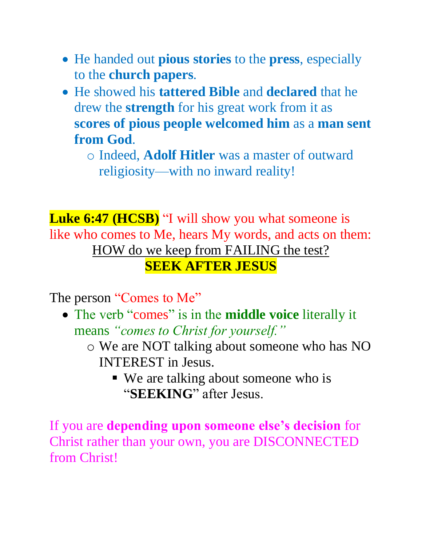- He handed out **pious stories** to the **press**, especially to the **church papers**.
- He showed his **tattered Bible** and **declared** that he drew the **strength** for his great work from it as **scores of pious people welcomed him** as a **man sent from God**.
	- o Indeed, **Adolf Hitler** was a master of outward religiosity—with no inward reality!

**Luke 6:47 (HCSB)** "I will show you what someone is like who comes to Me, hears My words, and acts on them: HOW do we keep from FAILING the test? **SEEK AFTER JESUS**

The person "Comes to Me"

- The verb "comes" is in the **middle voice** literally it means *"comes to Christ for yourself."*
	- o We are NOT talking about someone who has NO INTEREST in Jesus.
		- We are talking about someone who is "**SEEKING**" after Jesus.

If you are **depending upon someone else's decision** for Christ rather than your own, you are DISCONNECTED from Christ!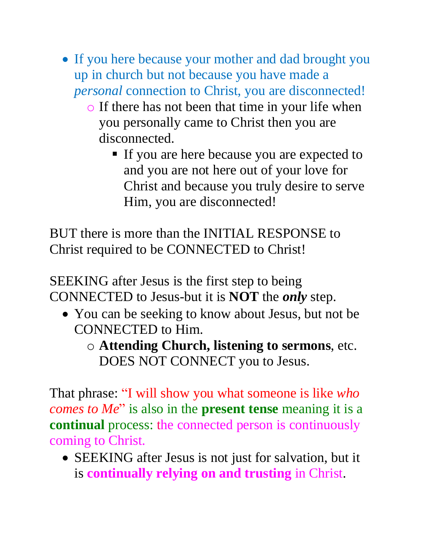- If you here because your mother and dad brought you up in church but not because you have made a *personal* connection to Christ, you are disconnected!
	- o If there has not been that time in your life when you personally came to Christ then you are disconnected.
		- If you are here because you are expected to and you are not here out of your love for Christ and because you truly desire to serve Him, you are disconnected!

BUT there is more than the INITIAL RESPONSE to Christ required to be CONNECTED to Christ!

SEEKING after Jesus is the first step to being CONNECTED to Jesus-but it is **NOT** the *only* step.

- You can be seeking to know about Jesus, but not be CONNECTED to Him.
	- o **Attending Church, listening to sermons**, etc. DOES NOT CONNECT you to Jesus.

That phrase: "I will show you what someone is like *who comes to Me*" is also in the **present tense** meaning it is a **continual** process: the connected person is continuously coming to Christ.

• SEEKING after Jesus is not just for salvation, but it is **continually relying on and trusting** in Christ.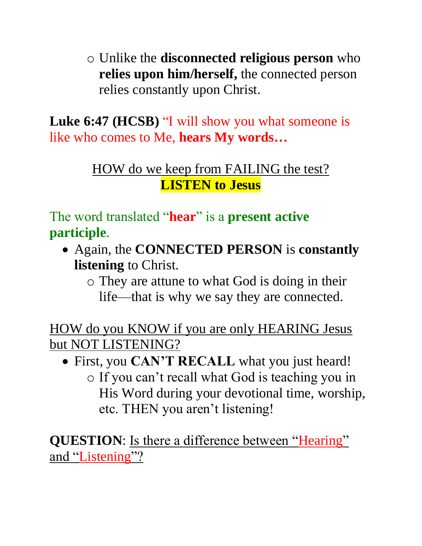o Unlike the **disconnected religious person** who **relies upon him/herself,** the connected person relies constantly upon Christ.

**Luke 6:47 (HCSB)** "I will show you what someone is like who comes to Me, **hears My words…**

#### HOW do we keep from FAILING the test? **LISTEN to Jesus**

The word translated "**hear**" is a **present active participle**.

- Again, the **CONNECTED PERSON** is **constantly listening** to Christ.
	- o They are attune to what God is doing in their life—that is why we say they are connected.

HOW do you KNOW if you are only HEARING Jesus but NOT LISTENING?

• First, you **CAN'T RECALL** what you just heard! o If you can't recall what God is teaching you in His Word during your devotional time, worship, etc. THEN you aren't listening!

**QUESTION**: Is there a difference between "Hearing" and "Listening"?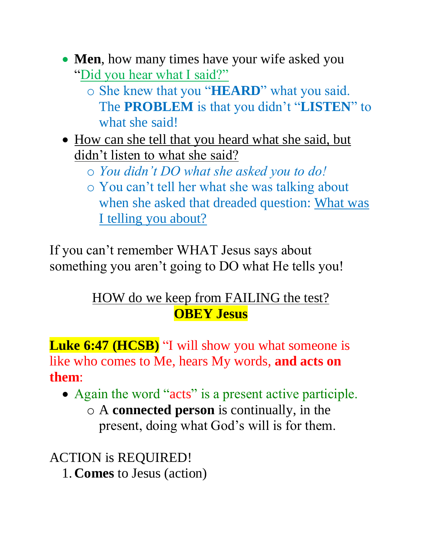- **Men**, how many times have your wife asked you "Did you hear what I said?"
	- o She knew that you "**HEARD**" what you said. The **PROBLEM** is that you didn't "**LISTEN**" to what she said!
- How can she tell that you heard what she said, but didn't listen to what she said?
	- o *You didn't DO what she asked you to do!*
	- o You can't tell her what she was talking about when she asked that dreaded question: What was I telling you about?

If you can't remember WHAT Jesus says about something you aren't going to DO what He tells you!

#### HOW do we keep from FAILING the test? **OBEY Jesus**

**Luke 6:47 (HCSB)** "I will show you what someone is like who comes to Me, hears My words, **and acts on them**:

- Again the word "acts" is a present active participle. o A **connected person** is continually, in the
	- present, doing what God's will is for them.

ACTION is REQUIRED! 1. **Comes** to Jesus (action)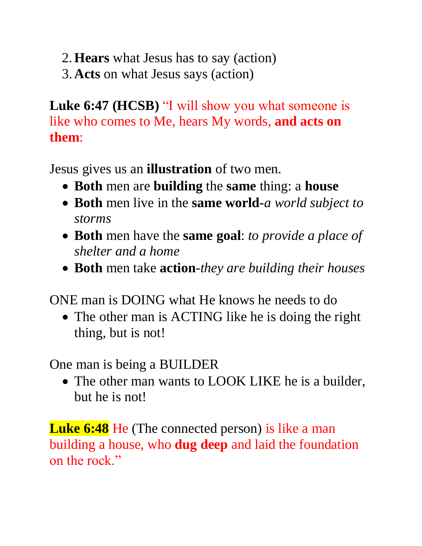- 2.**Hears** what Jesus has to say (action)
- 3. **Acts** on what Jesus says (action)

**Luke 6:47 (HCSB)** "I will show you what someone is like who comes to Me, hears My words, **and acts on them**:

Jesus gives us an **illustration** of two men.

- **Both** men are **building** the **same** thing: a **house**
- **Both** men live in the **same world-***a world subject to storms*
- **Both** men have the **same goal**: *to provide a place of shelter and a home*
- **Both** men take **action**-*they are building their houses*

ONE man is DOING what He knows he needs to do

• The other man is ACTING like he is doing the right thing, but is not!

One man is being a BUILDER

• The other man wants to LOOK LIKE he is a builder, but he is not!

**Luke 6:48** He (The connected person) is like a man building a house, who **dug deep** and laid the foundation on the rock."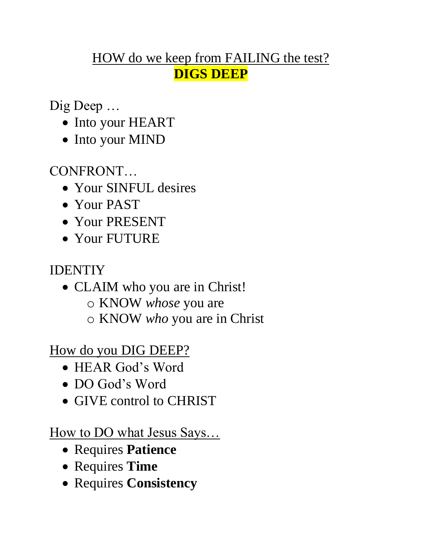#### HOW do we keep from FAILING the test? **DIGS DEEP**

Dig Deep …

- Into your HEART
- Into your MIND

CONFRONT…

- Your SINFUL desires
- Your PAST
- Your PRESENT
- Your FUTURE

## IDENTIY

- CLAIM who you are in Christ!
	- o KNOW *whose* you are
	- o KNOW *who* you are in Christ

How do you DIG DEEP?

- HEAR God's Word
- DO God's Word
- GIVE control to CHRIST

How to DO what Jesus Says…

- Requires **Patience**
- Requires **Time**
- Requires **Consistency**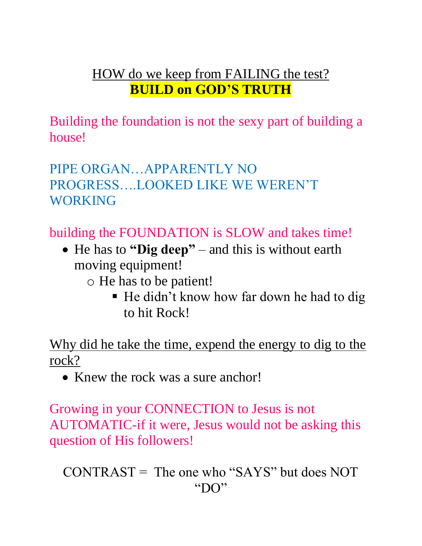#### HOW do we keep from FAILING the test? **BUILD on GOD'S TRUTH**

Building the foundation is not the sexy part of building a house!

PIPE ORGAN…APPARENTLY NO PROGRESS….LOOKED LIKE WE WEREN'T WORKING

building the FOUNDATION is SLOW and takes time!

- He has to **"Dig deep"** and this is without earth moving equipment!
	- o He has to be patient!
		- He didn't know how far down he had to dig to hit Rock!

Why did he take the time, expend the energy to dig to the rock?

• Knew the rock was a sure anchor!

Growing in your CONNECTION to Jesus is not AUTOMATIC-if it were, Jesus would not be asking this question of His followers!

```
CONTRAST = The one who "SAYS" but does NOT"DO"
```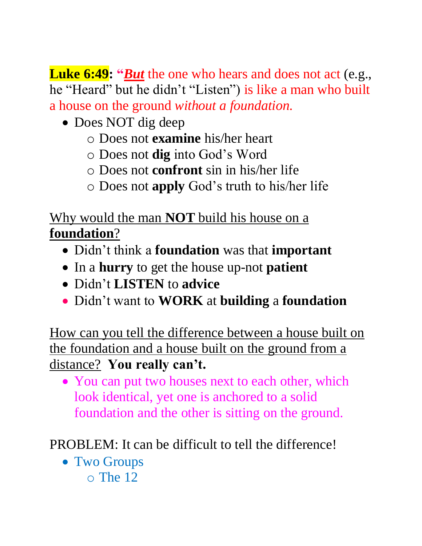**Luke 6:49: "But** the one who hears and does not act (e.g., he "Heard" but he didn't "Listen") is like a man who built a house on the ground *without a foundation.*

- Does NOT dig deep
	- o Does not **examine** his/her heart
	- o Does not **dig** into God's Word
	- o Does not **confront** sin in his/her life
	- o Does not **apply** God's truth to his/her life

Why would the man **NOT** build his house on a **foundation**?

- Didn't think a **foundation** was that **important**
- In a **hurry** to get the house up-not **patient**
- Didn't **LISTEN** to **advice**
- Didn't want to **WORK** at **building** a **foundation**

How can you tell the difference between a house built on the foundation and a house built on the ground from a distance? **You really can't.**

• You can put two houses next to each other, which look identical, yet one is anchored to a solid foundation and the other is sitting on the ground.

PROBLEM: It can be difficult to tell the difference!

• Two Groups o The 12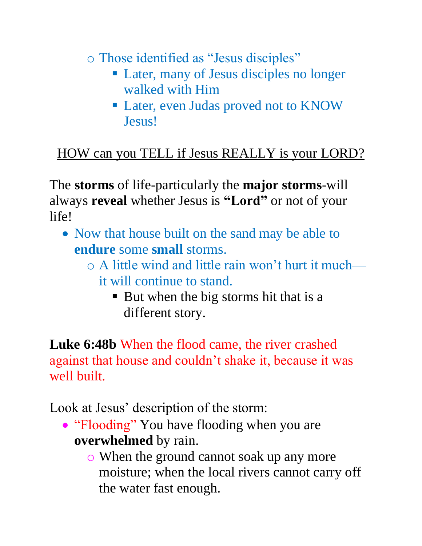o Those identified as "Jesus disciples"

- Later, many of Jesus disciples no longer walked with Him
- Later, even Judas proved not to KNOW Jesus!

# HOW can you TELL if Jesus REALLY is your LORD?

The **storms** of life-particularly the **major storms**-will always **reveal** whether Jesus is **"Lord"** or not of your life!

- Now that house built on the sand may be able to **endure** some **small** storms.
	- $\circ$  A little wind and little rain won't hurt it much it will continue to stand.
		- But when the big storms hit that is a different story.

**Luke 6:48b** When the flood came, the river crashed against that house and couldn't shake it, because it was well built.

Look at Jesus' description of the storm:

- "Flooding" You have flooding when you are **overwhelmed** by rain.
	- o When the ground cannot soak up any more moisture; when the local rivers cannot carry off the water fast enough.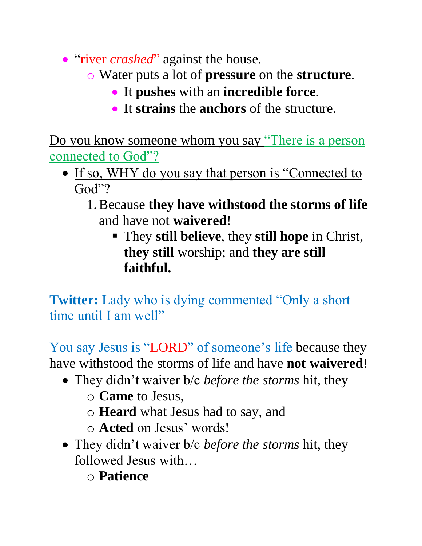- "river *crashed*" against the house.
	- o Water puts a lot of **pressure** on the **structure**.
		- It **pushes** with an **incredible force**.
		- It **strains** the **anchors** of the structure.

Do you know someone whom you say "There is a person connected to God"?

- If so, WHY do you say that person is "Connected to God"?
	- 1.Because **they have withstood the storms of life** and have not **waivered**!
		- They **still believe**, they **still hope** in Christ, **they still** worship; and **they are still faithful.**

**Twitter:** Lady who is dying commented "Only a short" time until I am well"

You say Jesus is "LORD" of someone's life because they have withstood the storms of life and have **not waivered**!

- They didn't waiver b/c *before the storms* hit, they
	- o **Came** to Jesus,
	- o **Heard** what Jesus had to say, and
	- o **Acted** on Jesus' words!
- They didn't waiver b/c *before the storms* hit, they followed Jesus with…
	- o **Patience**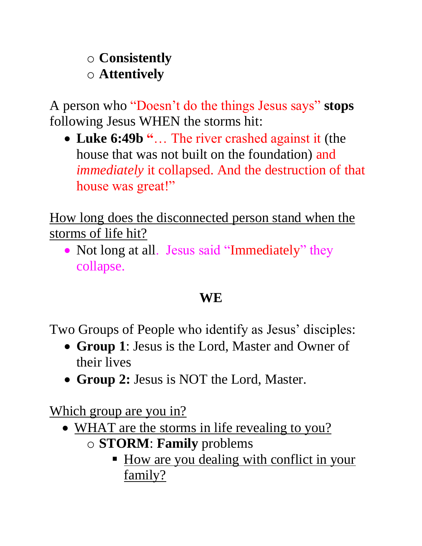#### o **Consistently** o **Attentively**

A person who "Doesn't do the things Jesus says" **stops** following Jesus WHEN the storms hit:

• **Luke 6:49b "**… The river crashed against it (the house that was not built on the foundation) and *immediately* it collapsed. And the destruction of that house was great!"

How long does the disconnected person stand when the storms of life hit?

• Not long at all. Jesus said "Immediately" they collapse.

# **WE**

Two Groups of People who identify as Jesus' disciples:

- **Group 1**: Jesus is the Lord, Master and Owner of their lives
- **Group 2:** Jesus is NOT the Lord, Master.

Which group are you in?

- WHAT are the storms in life revealing to you?
	- o **STORM**: **Family** problems
		- **EXECUTE:** How are you dealing with conflict in your family?